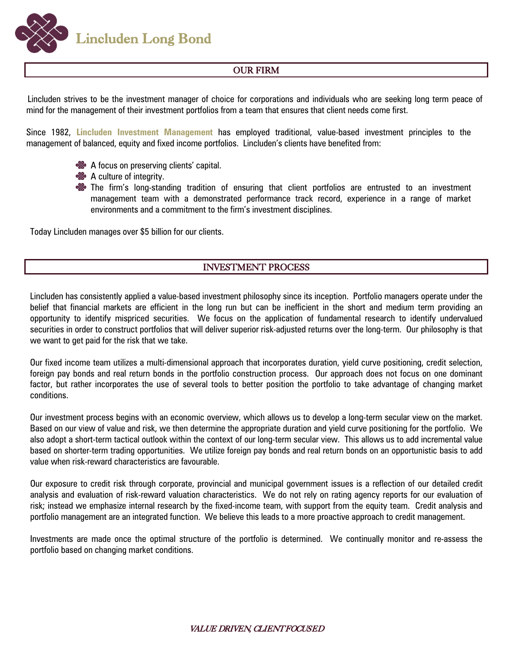**Lincluden Long Bond** 

# OUR FIRM

Lincluden strives to be the investment manager of choice for corporations and individuals who are seeking long term peace of mind for the management of their investment portfolios from a team that ensures that client needs come first.

Since 1982, **Lincluden Investment Management** has employed traditional, value-based investment principles to the management of balanced, equity and fixed income portfolios. Lincluden's clients have benefited from:



- A culture of integrity.
- **So** The firm's long-standing tradition of ensuring that client portfolios are entrusted to an investment management team with a demonstrated performance track record, experience in a range of market environments and a commitment to the firm's investment disciplines.

Today Lincluden manages over \$5 billion for our clients.

## INVESTMENT PROCESS

Lincluden has consistently applied a value-based investment philosophy since its inception. Portfolio managers operate under the belief that financial markets are efficient in the long run but can be inefficient in the short and medium term providing an opportunity to identify mispriced securities. We focus on the application of fundamental research to identify undervalued securities in order to construct portfolios that will deliver superior risk-adjusted returns over the long-term. Our philosophy is that we want to get paid for the risk that we take.

Our fixed income team utilizes a multi-dimensional approach that incorporates duration, yield curve positioning, credit selection, foreign pay bonds and real return bonds in the portfolio construction process. Our approach does not focus on one dominant factor, but rather incorporates the use of several tools to better position the portfolio to take advantage of changing market conditions.

Our investment process begins with an economic overview, which allows us to develop a long-term secular view on the market. Based on our view of value and risk, we then determine the appropriate duration and yield curve positioning for the portfolio. We also adopt a short-term tactical outlook within the context of our long-term secular view. This allows us to add incremental value based on shorter-term trading opportunities. We utilize foreign pay bonds and real return bonds on an opportunistic basis to add value when risk-reward characteristics are favourable.

Our exposure to credit risk through corporate, provincial and municipal government issues is a reflection of our detailed credit analysis and evaluation of risk-reward valuation characteristics. We do not rely on rating agency reports for our evaluation of risk; instead we emphasize internal research by the fixed-income team, with support from the equity team. Credit analysis and portfolio management are an integrated function. We believe this leads to a more proactive approach to credit management.

Investments are made once the optimal structure of the portfolio is determined. We continually monitor and re-assess the portfolio based on changing market conditions.